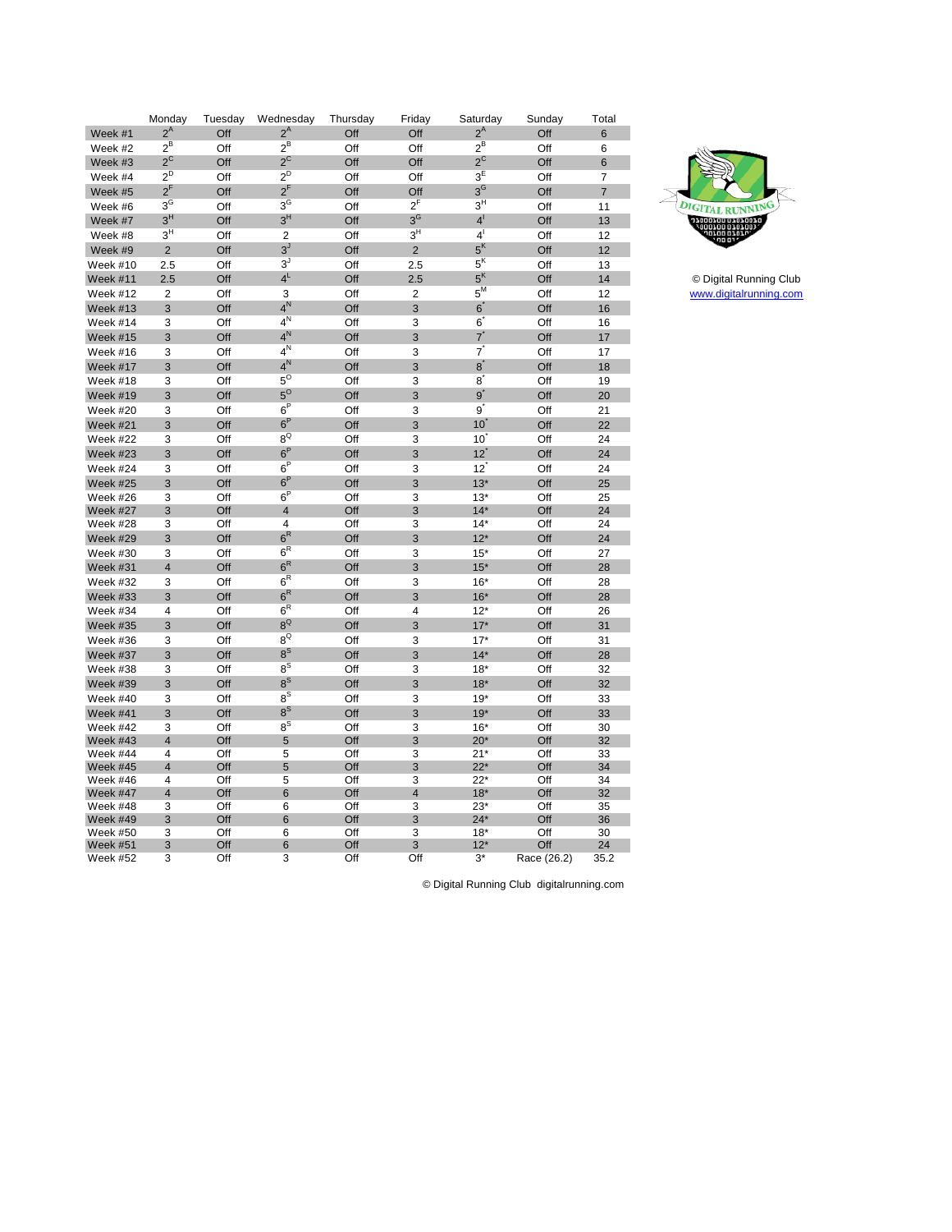| Monday<br>Tuesday<br>Wednesday<br>Friday<br>Saturday<br>Thursday                     | Sunday     | Total          |
|--------------------------------------------------------------------------------------|------------|----------------|
| $2^A$<br>$2^{\mathsf{A}}$<br>$2^A$<br>Off<br>Off<br>Week #1<br>Off                   | Off        | 6              |
| $2^B$<br>$2^B$<br>$2^B$<br>Week #2<br>Off<br>Off<br>Off                              | Off        | 6              |
| $2^{\text{C}}$<br>$2^C$<br>$2^{\circ}$<br>Off<br>Off<br>Week #3<br>Off               | Off        | $6\phantom{1}$ |
| $2^D$<br>$2^D$<br>$3^{\overline{E}}$<br>Week #4<br>Off<br>Off<br>Off                 | Off        | $\overline{7}$ |
| $2^{F}$<br>$2^{F}$<br>$3^G$<br>Off<br>Off<br>Off<br>Week #5                          | Off        | $\overline{7}$ |
| $3^{\circ}$<br>$3^{\circ}$<br>$2^{F}$<br>$3^H$<br>Week #6<br>Off<br>Off              | Off        | 11             |
| $3^H$<br>$3^H$<br>$3^G$<br>4 <sup>1</sup><br>Week #7<br>Off<br>Off                   | Off        | 13             |
| 3 <sup>H</sup><br>$3^H$<br>4 <sup>1</sup><br>Off<br>$\overline{2}$<br>Off<br>Week #8 | Off        | 12             |
| 5 <sup>K</sup><br>$3^J$<br>$\overline{2}$<br>$\overline{2}$<br>Off<br>Off<br>Week #9 | Off        | 12             |
| $5K$<br>$3^J$<br>2.5<br>Off<br>Off<br>2.5<br>Week #10                                | Off        | 13             |
| $4^L$<br>5 <sup>K</sup><br>Off<br>Off<br>Week #11<br>2.5<br>2.5                      | Off        | 14             |
| $5^M$<br>$\overline{2}$<br>$\overline{2}$<br>Off<br>3<br>Off<br>Week #12             | Off        | 12             |
| $4^N$<br>$6^{*}$<br>3<br>Off<br>Off<br>3<br>Week #13                                 | Off        | 16             |
| $4^{\overline{N}}$<br>Off<br>Off<br>$6^{\degree}$<br>Week #14<br>3<br>3              | Off        | 16             |
| $4^N$<br>$7^{^{\circ}}$<br>Off<br>Week #15<br>3<br>Off<br>3                          | Off        | 17             |
| $4^N$<br>7<br>3<br>3<br>Off<br>Off<br>Week #16                                       | Off        | 17             |
| $4^N$<br>$8^{\degree}$<br>3<br>Off<br>Off<br>3<br>Week #17                           | Off        | 18             |
| $5^\circ$<br>8<br>3<br>Off<br>Off<br>3<br>Week #18                                   | Off        | 19             |
| $5^\circ$<br>$9^{\degree}$<br>Off<br>Week #19<br>3<br>Off<br>3                       | Off        | 20             |
| 6 <sup>P</sup><br>$_{9}^{\prime}$<br>3<br>Off<br>Off<br>3<br>Week #20                | Off        | 21             |
| 6 <sup>P</sup><br>3<br>Off<br>Off<br>3<br>10<br>Week #21                             | Off        | 22             |
| $8^{\circ}$<br>Week #22<br>3<br>Off<br>Off<br>3<br>10 <sup>1</sup>                   | Off        | 24             |
| 6 <sup>P</sup><br>12<br>3<br>Off<br>Off<br>3<br>Week #23                             | Off        | 24             |
| $6^P$<br>12<br>3<br>3<br>Week #24<br>Off<br>Off                                      | Off        | 24             |
| $6^P$<br>3<br>Off<br>Off<br>3<br>$13*$<br>Week #25                                   | Off        | 25             |
| $6^P$<br>3<br>Off<br>Off<br>3<br>$13*$<br>Week #26                                   | Off        | 25             |
| $\overline{\mathbf{4}}$<br>Off<br>3<br>$14*$<br>3<br>Off<br>Week #27                 | Off        | 24             |
| 3<br>Off<br>4<br>Off<br>3<br>$14*$<br>Week #28                                       | Off        | 24             |
| $6^R$<br>Off<br>Off<br>3<br>$12*$<br>3<br>Week #29                                   | Off        | 24             |
| $6^R$<br>3<br>Off<br>Off<br>3<br>$15*$<br>Week #30                                   | Off        | 27             |
| $6^{\mathsf{R}}$<br>$\overline{4}$<br>Off<br>Off<br>3<br>$15*$<br>Week #31           | Off        | 28             |
| $6^R$<br>3<br>Off<br>Off<br>3<br>$16*$<br>Week #32                                   | Off        | 28             |
| $6^R$<br>3<br>3<br>Off<br>Off<br>$16*$<br>Week #33                                   | Off        | 28             |
| 6 <sup>R</sup><br>Week #34<br>4<br>Off<br>Off<br>$\overline{4}$<br>$12*$             | Off        | 26             |
| $8^{\text{Q}}$<br>3<br>Off<br>Off<br>3<br>$17*$<br><b>Week #35</b>                   | Off        | 31             |
| $8^{\circ}$<br>$17*$<br>Week #36<br>3<br>Off<br>Off<br>3                             | Off        | 31             |
| $8^{\text{S}}$<br>3<br>Off<br>Off<br>3<br>$14*$<br>Week #37                          | Off        | 28             |
| $8^{\overline{S}}$<br>Off<br>Off<br>$18*$<br>Week #38<br>3<br>3                      | Off        | 32             |
| $8^{\text{S}}$<br>3<br>Off<br>3<br>$18*$<br>Week #39<br>Off                          | Off        | 32             |
| $8^{\text{S}}$<br>Week #40<br>3<br>Off<br>Off<br>3<br>$19*$                          | Off        | 33             |
| $8^{\text{S}}$<br>3<br>Off<br>Off<br>3<br>$19*$<br>Week #41                          | Off        | 33             |
| $8^{\text{S}}$<br>Off<br>Off<br>$16*$<br>Week #42<br>3<br>3                          | Off        | 30             |
| Off<br>5<br>Off<br>$\overline{4}$<br>3<br>$20*$<br>Week #43                          | Off        | 32             |
| 5<br>3<br>Week #44<br>4<br>Off<br>Off<br>$21*$                                       | Off        | 33             |
| $22*$<br>$\overline{4}$<br>Off<br>5<br>Off<br>$\ensuremath{\mathsf{3}}$<br>Week #45  | Off        | 34             |
| 4<br>Off<br>5<br>Off<br>3<br>$22*$<br>Week #46                                       | Off        | 34             |
| $\overline{4}$<br>Off<br>6<br>Off<br>$\overline{4}$<br>$18*$<br>Week #47             | Off        | 32             |
| Off<br>Off<br>3<br>$23*$<br>Week #48<br>3<br>6<br>Off<br>Off<br>3<br>$24*$<br>3<br>6 | Off<br>Off | 35<br>36       |
| Week #49<br>3<br>Off<br>6<br>Off<br>3<br>$18*$<br>Week #50                           | Off        | 30             |
| 3<br>Off<br>6<br>Off<br>3<br><b>Week #51</b><br>$12*$                                | Off        | 24             |
|                                                                                      |            |                |



[w](http://www.digitalrunning.com/)ww.digitalrunning.com © Digital Running Club

© Digital Running Club digitalrunning.com